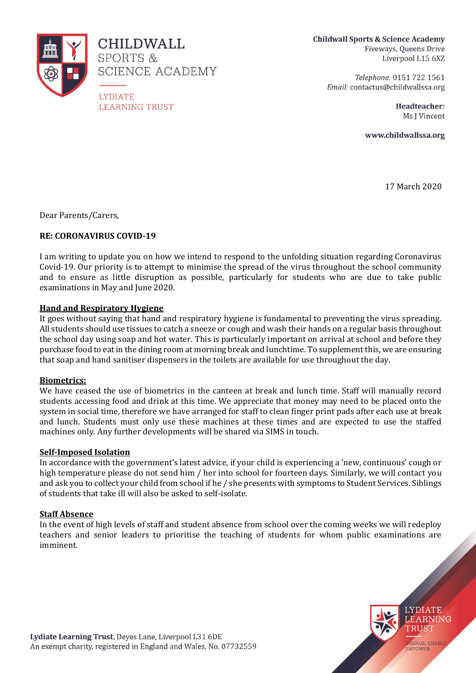

**CHILDWALL** SPORTS & SCIENCE ACADEMY

**LYDIATE LEARNING TRUST**  **Childwall Sports & Science Academy** Fiveways, Queens Drive Liverpool L15 6XZ

> Telephone: 0151 722 1561 Email: contactus@childwallssa.org

> > Headteacher: Ms I Vincent

www.childwallssa.org

17 March 2020

**LYDIATE** LEARNING TRUST

NGAGE, ENABLE

EMPOWER

Dear Parents/Carers,

# **RE: CORONAVIRUS COVID-19**

I am writing to update you on how we intend to respond to the unfolding situation regarding Coronavirus Covid-19. Our priority is to attempt to minimise the spread of the virus throughout the school community and to ensure as little disruption as possible, particularly for students who are due to take public examinations in May and June 2020.

#### **Hand and Respiratory Hygiene**

It goes without saying that hand and respiratory hygiene is fundamental to preventing the virus spreading. All students should use tissues to catch a sneeze or cough and wash their hands on a regular basis throughout the school day using soap and hot water. This is particularly important on arrival at school and before they purchase food to eat in the dining room at morning break and lunchtime. To supplement this, we are ensuring that soap and hand sanitiser dispensers in the toilets are available for use throughout the day.

#### **Biometrics:**

We have ceased the use of biometrics in the canteen at break and lunch time. Staff will manually record students accessing food and drink at this time. We appreciate that money may need to be placed onto the system in social time, therefore we have arranged for staff to clean finger print pads after each use at break and lunch. Students must only use these machines at these times and are expected to use the staffed machines only. Any further developments will be shared via SIMS in touch.

# **Self-Imposed Isolation**

In accordance with the government's latest advice, if your child is experiencing a 'new, continuous' cough or high temperature please do not send him / her into school for fourteen days. Similarly, we will contact you and ask you to collect your child from school if he / she presents with symptoms to Student Services. Siblings of students that take ill will also be asked to self-isolate.

# **Staff Absence**

In the event of high levels of staff and student absence from school over the coming weeks we will redeploy teachers and senior leaders to prioritise the teaching of students for whom public examinations are imminent.